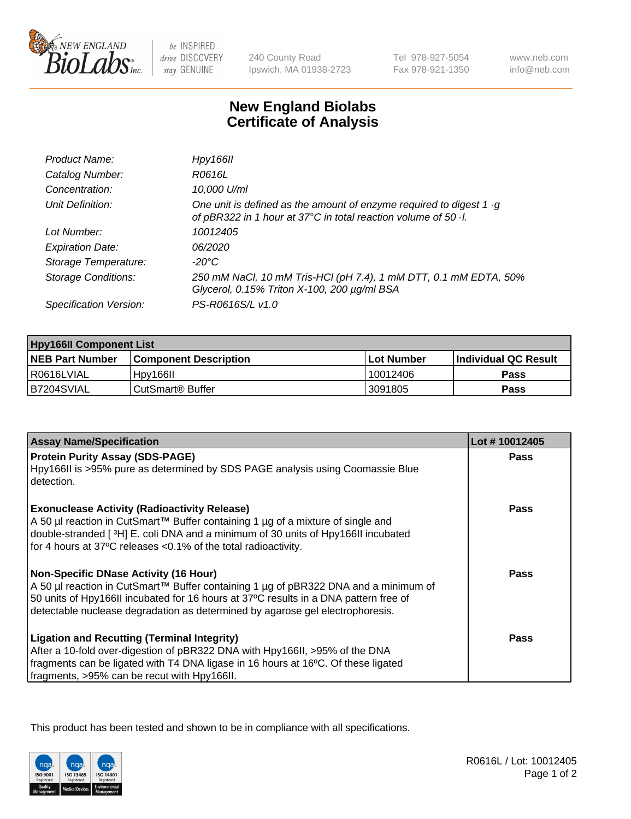

be INSPIRED drive DISCOVERY stay GENUINE

240 County Road Ipswich, MA 01938-2723 Tel 978-927-5054 Fax 978-921-1350

www.neb.com info@neb.com

## **New England Biolabs Certificate of Analysis**

| Hpy166II                                                                                                                                      |
|-----------------------------------------------------------------------------------------------------------------------------------------------|
| R0616L                                                                                                                                        |
| 10,000 U/ml                                                                                                                                   |
| One unit is defined as the amount of enzyme required to digest $1 \cdot g$<br>of pBR322 in 1 hour at 37°C in total reaction volume of 50 · l. |
| 10012405                                                                                                                                      |
| 06/2020                                                                                                                                       |
| -20°C                                                                                                                                         |
| 250 mM NaCl, 10 mM Tris-HCl (pH 7.4), 1 mM DTT, 0.1 mM EDTA, 50%<br>Glycerol, 0.15% Triton X-100, 200 µg/ml BSA                               |
| PS-R0616S/L v1.0                                                                                                                              |
|                                                                                                                                               |

| <b>Hpy166II Component List</b> |                         |              |                             |  |
|--------------------------------|-------------------------|--------------|-----------------------------|--|
| <b>NEB Part Number</b>         | l Component Description | l Lot Number | <b>Individual QC Result</b> |  |
| I R0616LVIAL                   | Hpy166II                | 10012406     | Pass                        |  |
| B7204SVIAL                     | l CutSmart® Buffer      | 3091805      | Pass                        |  |

| <b>Assay Name/Specification</b>                                                                                                                                                                                                                                                                              | Lot #10012405 |
|--------------------------------------------------------------------------------------------------------------------------------------------------------------------------------------------------------------------------------------------------------------------------------------------------------------|---------------|
| <b>Protein Purity Assay (SDS-PAGE)</b><br>Hpy166II is >95% pure as determined by SDS PAGE analysis using Coomassie Blue<br>detection.                                                                                                                                                                        | <b>Pass</b>   |
| <b>Exonuclease Activity (Radioactivity Release)</b><br>A 50 µl reaction in CutSmart™ Buffer containing 1 µg of a mixture of single and<br>double-stranded [3H] E. coli DNA and a minimum of 30 units of Hpy166II incubated<br>for 4 hours at 37°C releases < 0.1% of the total radioactivity.                | Pass          |
| <b>Non-Specific DNase Activity (16 Hour)</b><br>A 50 µl reaction in CutSmart™ Buffer containing 1 µg of pBR322 DNA and a minimum of<br>50 units of Hpy166II incubated for 16 hours at 37°C results in a DNA pattern free of<br>detectable nuclease degradation as determined by agarose gel electrophoresis. | Pass          |
| <b>Ligation and Recutting (Terminal Integrity)</b><br>After a 10-fold over-digestion of pBR322 DNA with Hpy166II, >95% of the DNA<br>fragments can be ligated with T4 DNA ligase in 16 hours at 16°C. Of these ligated<br>fragments, >95% can be recut with Hpy166II.                                        | Pass          |

This product has been tested and shown to be in compliance with all specifications.